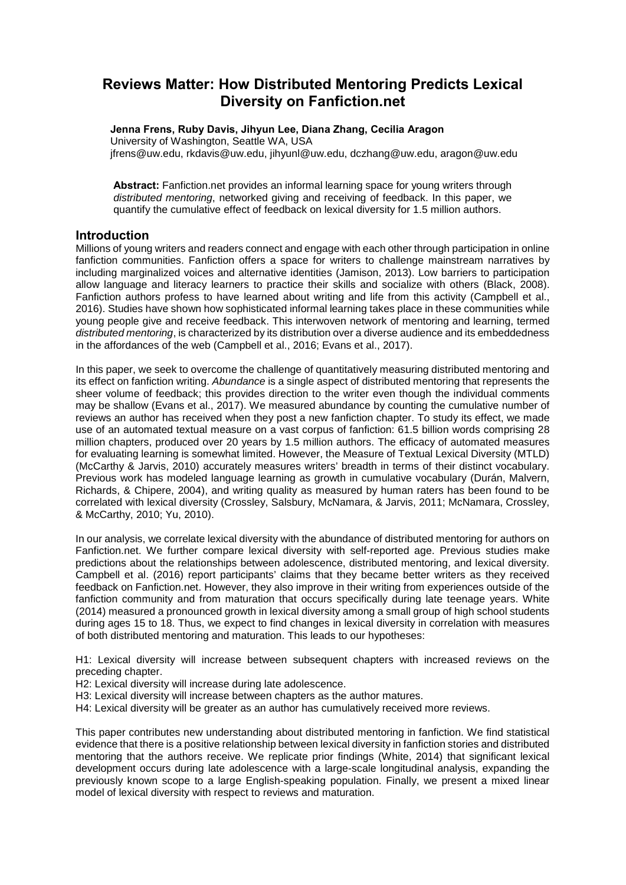# **Reviews Matter: How Distributed Mentoring Predicts Lexical Diversity on Fanfiction.net**

**Jenna Frens, Ruby Davis, Jihyun Lee, Diana Zhang, Cecilia Aragon** University of Washington, Seattle WA, USA jfrens@uw.edu, rkdavis@uw.edu, jihyunl@uw.edu, dczhang@uw.edu, aragon@uw.edu

**Abstract:** Fanfiction.net provides an informal learning space for young writers through *distributed mentoring*, networked giving and receiving of feedback. In this paper, we quantify the cumulative effect of feedback on lexical diversity for 1.5 million authors.

# **Introduction**

Millions of young writers and readers connect and engage with each other through participation in online fanfiction communities. Fanfiction offers a space for writers to challenge mainstream narratives by including marginalized voices and alternative identities (Jamison, 2013). Low barriers to participation allow language and literacy learners to practice their skills and socialize with others (Black, 2008). Fanfiction authors profess to have learned about writing and life from this activity (Campbell et al., 2016). Studies have shown how sophisticated informal learning takes place in these communities while young people give and receive feedback. This interwoven network of mentoring and learning, termed *distributed mentoring*, is characterized by its distribution over a diverse audience and its embeddedness in the affordances of the web (Campbell et al., 2016; Evans et al., 2017).

In this paper, we seek to overcome the challenge of quantitatively measuring distributed mentoring and its effect on fanfiction writing. *Abundance* is a single aspect of distributed mentoring that represents the sheer volume of feedback; this provides direction to the writer even though the individual comments may be shallow (Evans et al., 2017). We measured abundance by counting the cumulative number of reviews an author has received when they post a new fanfiction chapter. To study its effect, we made use of an automated textual measure on a vast corpus of fanfiction: 61.5 billion words comprising 28 million chapters, produced over 20 years by 1.5 million authors. The efficacy of automated measures for evaluating learning is somewhat limited. However, the Measure of Textual Lexical Diversity (MTLD) (McCarthy & Jarvis, 2010) accurately measures writers' breadth in terms of their distinct vocabulary. Previous work has modeled language learning as growth in cumulative vocabulary (Durán, Malvern, Richards, & Chipere, 2004), and writing quality as measured by human raters has been found to be correlated with lexical diversity (Crossley, Salsbury, McNamara, & Jarvis, 2011; McNamara, Crossley, & McCarthy, 2010; Yu, 2010).

In our analysis, we correlate lexical diversity with the abundance of distributed mentoring for authors on Fanfiction.net. We further compare lexical diversity with self-reported age. Previous studies make predictions about the relationships between adolescence, distributed mentoring, and lexical diversity. Campbell et al. (2016) report participants' claims that they became better writers as they received feedback on Fanfiction.net. However, they also improve in their writing from experiences outside of the fanfiction community and from maturation that occurs specifically during late teenage years. White (2014) measured a pronounced growth in lexical diversity among a small group of high school students during ages 15 to 18. Thus, we expect to find changes in lexical diversity in correlation with measures of both distributed mentoring and maturation. This leads to our hypotheses:

H1: Lexical diversity will increase between subsequent chapters with increased reviews on the preceding chapter.

H2: Lexical diversity will increase during late adolescence.

- H3: Lexical diversity will increase between chapters as the author matures.
- H4: Lexical diversity will be greater as an author has cumulatively received more reviews.

This paper contributes new understanding about distributed mentoring in fanfiction. We find statistical evidence that there is a positive relationship between lexical diversity in fanfiction stories and distributed mentoring that the authors receive. We replicate prior findings (White, 2014) that significant lexical development occurs during late adolescence with a large-scale longitudinal analysis, expanding the previously known scope to a large English-speaking population. Finally, we present a mixed linear model of lexical diversity with respect to reviews and maturation.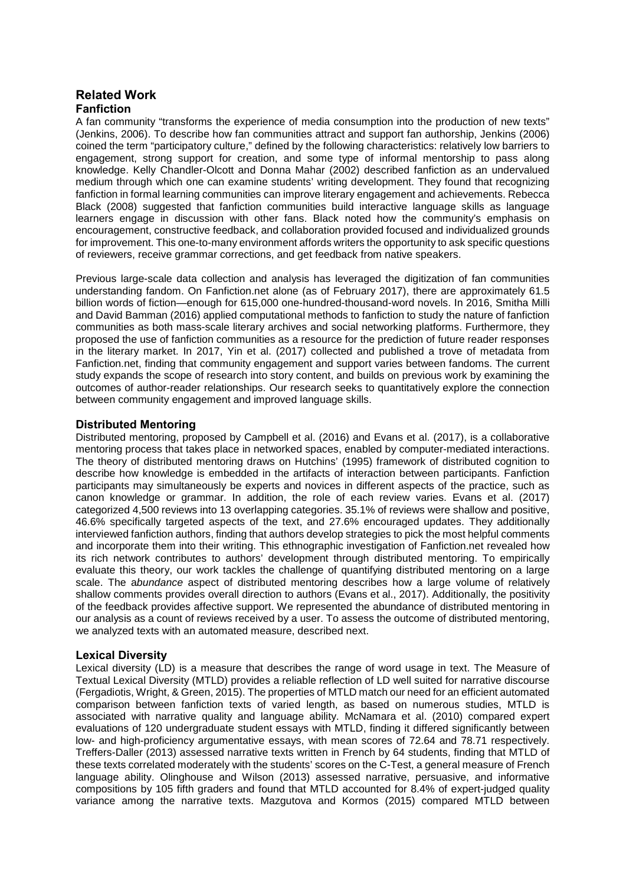# **Related Work Fanfiction**

A fan community "transforms the experience of media consumption into the production of new texts" (Jenkins, 2006). To describe how fan communities attract and support fan authorship, Jenkins (2006) coined the term "participatory culture," defined by the following characteristics: relatively low barriers to engagement, strong support for creation, and some type of informal mentorship to pass along knowledge. Kelly Chandler-Olcott and Donna Mahar (2002) described fanfiction as an undervalued medium through which one can examine students' writing development. They found that recognizing fanfiction in formal learning communities can improve literary engagement and achievements. Rebecca Black (2008) suggested that fanfiction communities build interactive language skills as language learners engage in discussion with other fans. Black noted how the community's emphasis on encouragement, constructive feedback, and collaboration provided focused and individualized grounds for improvement. This one-to-many environment affords writers the opportunity to ask specific questions of reviewers, receive grammar corrections, and get feedback from native speakers.

Previous large-scale data collection and analysis has leveraged the digitization of fan communities understanding fandom. On Fanfiction.net alone (as of February 2017), there are approximately 61.5 billion words of fiction—enough for 615,000 one-hundred-thousand-word novels. In 2016, Smitha Milli and David Bamman (2016) applied computational methods to fanfiction to study the nature of fanfiction communities as both mass-scale literary archives and social networking platforms. Furthermore, they proposed the use of fanfiction communities as a resource for the prediction of future reader responses in the literary market. In 2017, Yin et al. (2017) collected and published a trove of metadata from Fanfiction.net, finding that community engagement and support varies between fandoms. The current study expands the scope of research into story content, and builds on previous work by examining the outcomes of author-reader relationships. Our research seeks to quantitatively explore the connection between community engagement and improved language skills.

## **Distributed Mentoring**

Distributed mentoring, proposed by Campbell et al. (2016) and Evans et al. (2017), is a collaborative mentoring process that takes place in networked spaces, enabled by computer-mediated interactions. The theory of distributed mentoring draws on Hutchins' (1995) framework of distributed cognition to describe how knowledge is embedded in the artifacts of interaction between participants. Fanfiction participants may simultaneously be experts and novices in different aspects of the practice, such as canon knowledge or grammar. In addition, the role of each review varies. Evans et al. (2017) categorized 4,500 reviews into 13 overlapping categories. 35.1% of reviews were shallow and positive, 46.6% specifically targeted aspects of the text, and 27.6% encouraged updates. They additionally interviewed fanfiction authors, finding that authors develop strategies to pick the most helpful comments and incorporate them into their writing. This ethnographic investigation of Fanfiction.net revealed how its rich network contributes to authors' development through distributed mentoring. To empirically evaluate this theory, our work tackles the challenge of quantifying distributed mentoring on a large scale. The a*bundance* aspect of distributed mentoring describes how a large volume of relatively shallow comments provides overall direction to authors (Evans et al., 2017). Additionally, the positivity of the feedback provides affective support. We represented the abundance of distributed mentoring in our analysis as a count of reviews received by a user. To assess the outcome of distributed mentoring, we analyzed texts with an automated measure, described next.

# **Lexical Diversity**

Lexical diversity (LD) is a measure that describes the range of word usage in text. The Measure of Textual Lexical Diversity (MTLD) provides a reliable reflection of LD well suited for narrative discourse (Fergadiotis, Wright, & Green, 2015). The properties of MTLD match our need for an efficient automated comparison between fanfiction texts of varied length, as based on numerous studies, MTLD is associated with narrative quality and language ability. McNamara et al. (2010) compared expert evaluations of 120 undergraduate student essays with MTLD, finding it differed significantly between low- and high-proficiency argumentative essays, with mean scores of 72.64 and 78.71 respectively. Treffers-Daller (2013) assessed narrative texts written in French by 64 students, finding that MTLD of these texts correlated moderately with the students' scores on the C-Test, a general measure of French language ability. Olinghouse and Wilson (2013) assessed narrative, persuasive, and informative compositions by 105 fifth graders and found that MTLD accounted for 8.4% of expert-judged quality variance among the narrative texts. Mazgutova and Kormos (2015) compared MTLD between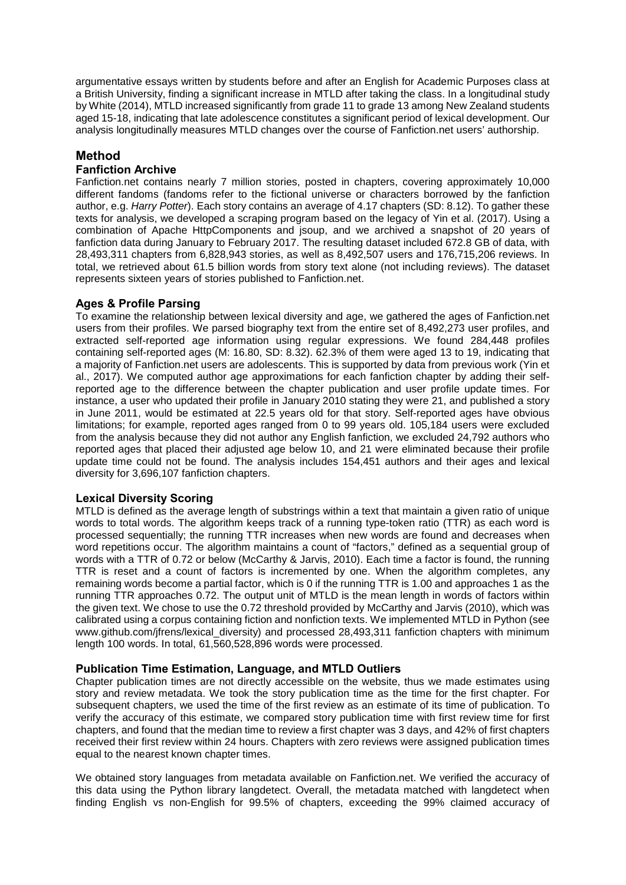argumentative essays written by students before and after an English for Academic Purposes class at a British University, finding a significant increase in MTLD after taking the class. In a longitudinal study by White (2014), MTLD increased significantly from grade 11 to grade 13 among New Zealand students aged 15-18, indicating that late adolescence constitutes a significant period of lexical development. Our analysis longitudinally measures MTLD changes over the course of Fanfiction.net users' authorship.

# **Method**

## **Fanfiction Archive**

Fanfiction.net contains nearly 7 million stories, posted in chapters, covering approximately 10,000 different fandoms (fandoms refer to the fictional universe or characters borrowed by the fanfiction author, e.g. *Harry Potter*). Each story contains an average of 4.17 chapters (SD: 8.12). To gather these texts for analysis, we developed a scraping program based on the legacy of Yin et al. (2017). Using a combination of Apache HttpComponents and jsoup, and we archived a snapshot of 20 years of fanfiction data during January to February 2017. The resulting dataset included 672.8 GB of data, with 28,493,311 chapters from 6,828,943 stories, as well as 8,492,507 users and 176,715,206 reviews. In total, we retrieved about 61.5 billion words from story text alone (not including reviews). The dataset represents sixteen years of stories published to Fanfiction.net.

## **Ages & Profile Parsing**

To examine the relationship between lexical diversity and age, we gathered the ages of Fanfiction.net users from their profiles. We parsed biography text from the entire set of 8,492,273 user profiles, and extracted self-reported age information using regular expressions. We found 284,448 profiles containing self-reported ages (M: 16.80, SD: 8.32). 62.3% of them were aged 13 to 19, indicating that a majority of Fanfiction.net users are adolescents. This is supported by data from previous work (Yin et al., 2017). We computed author age approximations for each fanfiction chapter by adding their selfreported age to the difference between the chapter publication and user profile update times. For instance, a user who updated their profile in January 2010 stating they were 21, and published a story in June 2011, would be estimated at 22.5 years old for that story. Self-reported ages have obvious limitations; for example, reported ages ranged from 0 to 99 years old. 105,184 users were excluded from the analysis because they did not author any English fanfiction, we excluded 24,792 authors who reported ages that placed their adjusted age below 10, and 21 were eliminated because their profile update time could not be found. The analysis includes 154,451 authors and their ages and lexical diversity for 3,696,107 fanfiction chapters.

### **Lexical Diversity Scoring**

MTLD is defined as the average length of substrings within a text that maintain a given ratio of unique words to total words. The algorithm keeps track of a running type-token ratio (TTR) as each word is processed sequentially; the running TTR increases when new words are found and decreases when word repetitions occur. The algorithm maintains a count of "factors," defined as a sequential group of words with a TTR of 0.72 or below (McCarthy & Jarvis, 2010). Each time a factor is found, the running TTR is reset and a count of factors is incremented by one. When the algorithm completes, any remaining words become a partial factor, which is 0 if the running TTR is 1.00 and approaches 1 as the running TTR approaches 0.72. The output unit of MTLD is the mean length in words of factors within the given text. We chose to use the 0.72 threshold provided by McCarthy and Jarvis (2010), which was calibrated using a corpus containing fiction and nonfiction texts. We implemented MTLD in Python (see www.github.com/jfrens/lexical\_diversity) and processed 28,493,311 fanfiction chapters with minimum length 100 words. In total, 61,560,528,896 words were processed.

### **Publication Time Estimation, Language, and MTLD Outliers**

Chapter publication times are not directly accessible on the website, thus we made estimates using story and review metadata. We took the story publication time as the time for the first chapter. For subsequent chapters, we used the time of the first review as an estimate of its time of publication. To verify the accuracy of this estimate, we compared story publication time with first review time for first chapters, and found that the median time to review a first chapter was 3 days, and 42% of first chapters received their first review within 24 hours. Chapters with zero reviews were assigned publication times equal to the nearest known chapter times.

We obtained story languages from metadata available on Fanfiction.net. We verified the accuracy of this data using the Python library langdetect. Overall, the metadata matched with langdetect when finding English vs non-English for 99.5% of chapters, exceeding the 99% claimed accuracy of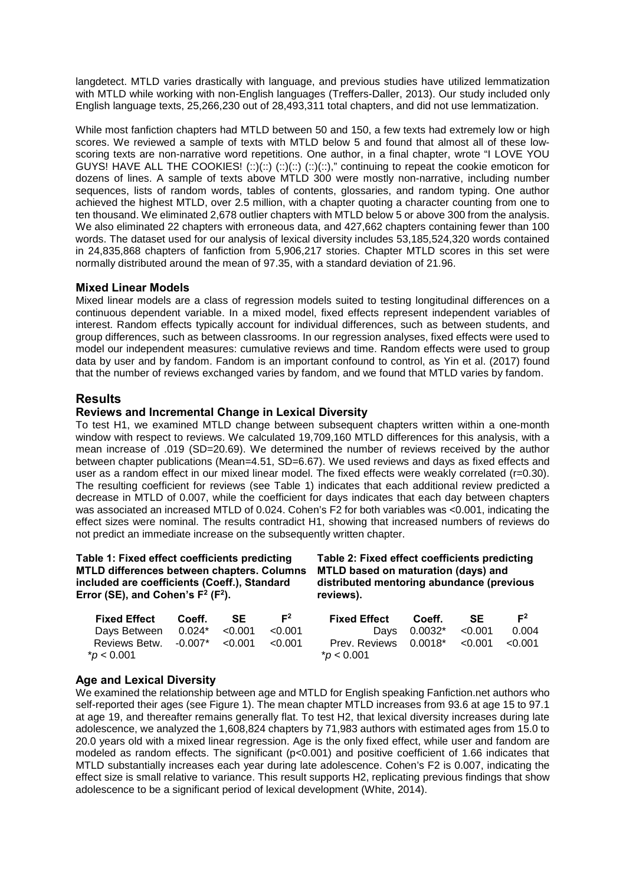langdetect. MTLD varies drastically with language, and previous studies have utilized lemmatization with MTLD while working with non-English languages (Treffers-Daller, 2013). Our study included only English language texts, 25,266,230 out of 28,493,311 total chapters, and did not use lemmatization.

While most fanfiction chapters had MTLD between 50 and 150, a few texts had extremely low or high scores. We reviewed a sample of texts with MTLD below 5 and found that almost all of these lowscoring texts are non-narrative word repetitions. One author, in a final chapter, wrote "I LOVE YOU GUYS! HAVE ALL THE COOKIES!  $(:)(::)(::)(::)(::)(::)(::);$  continuing to repeat the cookie emoticon for dozens of lines. A sample of texts above MTLD 300 were mostly non-narrative, including number sequences, lists of random words, tables of contents, glossaries, and random typing. One author achieved the highest MTLD, over 2.5 million, with a chapter quoting a character counting from one to ten thousand. We eliminated 2,678 outlier chapters with MTLD below 5 or above 300 from the analysis. We also eliminated 22 chapters with erroneous data, and 427,662 chapters containing fewer than 100 words. The dataset used for our analysis of lexical diversity includes 53,185,524,320 words contained in 24,835,868 chapters of fanfiction from 5,906,217 stories. Chapter MTLD scores in this set were normally distributed around the mean of 97.35, with a standard deviation of 21.96.

### **Mixed Linear Models**

Mixed linear models are a class of regression models suited to testing longitudinal differences on a continuous dependent variable. In a mixed model, fixed effects represent independent variables of interest. Random effects typically account for individual differences, such as between students, and group differences, such as between classrooms. In our regression analyses, fixed effects were used to model our independent measures: cumulative reviews and time. Random effects were used to group data by user and by fandom. Fandom is an important confound to control, as Yin et al. (2017) found that the number of reviews exchanged varies by fandom, and we found that MTLD varies by fandom.

# **Results**

### **Reviews and Incremental Change in Lexical Diversity**

To test H1, we examined MTLD change between subsequent chapters written within a one-month window with respect to reviews. We calculated 19,709,160 MTLD differences for this analysis, with a mean increase of .019 (SD=20.69). We determined the number of reviews received by the author between chapter publications (Mean=4.51, SD=6.67). We used reviews and days as fixed effects and user as a random effect in our mixed linear model. The fixed effects were weakly correlated (r=0.30). The resulting coefficient for reviews (see Table 1) indicates that each additional review predicted a decrease in MTLD of 0.007, while the coefficient for days indicates that each day between chapters was associated an increased MTLD of 0.024. Cohen's F2 for both variables was <0.001, indicating the effect sizes were nominal. The results contradict H1, showing that increased numbers of reviews do not predict an immediate increase on the subsequently written chapter.

#### **Table 1: Fixed effect coefficients predicting MTLD differences between chapters. Columns included are coefficients (Coeff.), Standard Error (SE), and Cohen's**  $F^2$  **(** $F^2$ **).**

#### **Table 2: Fixed effect coefficients predicting MTLD based on maturation (days) and distributed mentoring abundance (previous reviews).**

| Fixed Effect<br>Coeff. | <b>F</b> <sup>2</sup> | <b>Fixed Effect</b>                                                                |  | F <sup>2</sup>                                   |
|------------------------|-----------------------|------------------------------------------------------------------------------------|--|--------------------------------------------------|
|                        |                       |                                                                                    |  | 0.004                                            |
|                        |                       | $*$ <i>p</i> < 0.001                                                               |  |                                                  |
|                        | <b>SE</b>             | Days Between $0.024^*$ < 0.001 < 0.001<br>Reviews Betw. $-0.007^*$ < 0.001 < 0.001 |  | Coeff. SE<br>Prev. Reviews 0.0018* <0.001 <0.001 |

### **Age and Lexical Diversity**

We examined the relationship between age and MTLD for English speaking Fanfiction.net authors who self-reported their ages (see Figure 1). The mean chapter MTLD increases from 93.6 at age 15 to 97.1 at age 19, and thereafter remains generally flat. To test H2, that lexical diversity increases during late adolescence, we analyzed the 1,608,824 chapters by 71,983 authors with estimated ages from 15.0 to 20.0 years old with a mixed linear regression. Age is the only fixed effect, while user and fandom are modeled as random effects. The significant (p<0.001) and positive coefficient of 1.66 indicates that MTLD substantially increases each year during late adolescence. Cohen's F2 is 0.007, indicating the effect size is small relative to variance. This result supports H2, replicating previous findings that show adolescence to be a significant period of lexical development (White, 2014).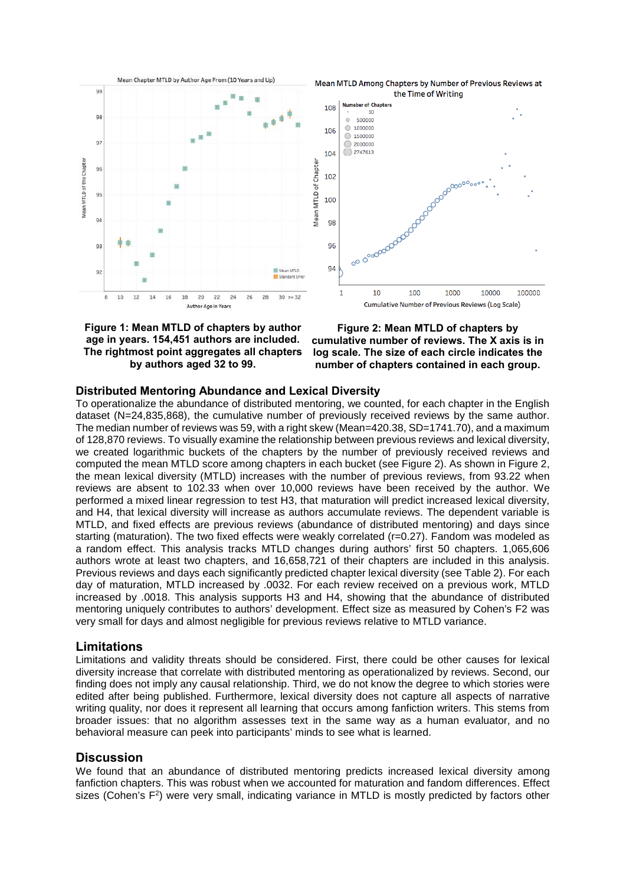



**Figure 1: Mean MTLD of chapters by author age in years. 154,451 authors are included. The rightmost point aggregates all chapters by authors aged 32 to 99.**

**Figure 2: Mean MTLD of chapters by cumulative number of reviews. The X axis is in log scale. The size of each circle indicates the number of chapters contained in each group.**

#### **Distributed Mentoring Abundance and Lexical Diversity**

To operationalize the abundance of distributed mentoring, we counted, for each chapter in the English dataset (N=24,835,868), the cumulative number of previously received reviews by the same author. The median number of reviews was 59, with a right skew (Mean=420.38, SD=1741.70), and a maximum of 128,870 reviews. To visually examine the relationship between previous reviews and lexical diversity, we created logarithmic buckets of the chapters by the number of previously received reviews and computed the mean MTLD score among chapters in each bucket (see Figure 2). As shown in Figure 2, the mean lexical diversity (MTLD) increases with the number of previous reviews, from 93.22 when reviews are absent to 102.33 when over 10,000 reviews have been received by the author. We performed a mixed linear regression to test H3, that maturation will predict increased lexical diversity, and H4, that lexical diversity will increase as authors accumulate reviews. The dependent variable is MTLD, and fixed effects are previous reviews (abundance of distributed mentoring) and days since starting (maturation). The two fixed effects were weakly correlated (r=0.27). Fandom was modeled as a random effect. This analysis tracks MTLD changes during authors' first 50 chapters. 1,065,606 authors wrote at least two chapters, and 16,658,721 of their chapters are included in this analysis. Previous reviews and days each significantly predicted chapter lexical diversity (see Table 2). For each day of maturation, MTLD increased by .0032. For each review received on a previous work, MTLD increased by .0018. This analysis supports H3 and H4, showing that the abundance of distributed mentoring uniquely contributes to authors' development. Effect size as measured by Cohen's F2 was very small for days and almost negligible for previous reviews relative to MTLD variance.

#### **Limitations**

Limitations and validity threats should be considered. First, there could be other causes for lexical diversity increase that correlate with distributed mentoring as operationalized by reviews. Second, our finding does not imply any causal relationship. Third, we do not know the degree to which stories were edited after being published. Furthermore, lexical diversity does not capture all aspects of narrative writing quality, nor does it represent all learning that occurs among fanfiction writers. This stems from broader issues: that no algorithm assesses text in the same way as a human evaluator, and no behavioral measure can peek into participants' minds to see what is learned.

#### **Discussion**

We found that an abundance of distributed mentoring predicts increased lexical diversity among fanfiction chapters. This was robust when we accounted for maturation and fandom differences. Effect sizes (Cohen's F<sup>2</sup>) were very small, indicating variance in MTLD is mostly predicted by factors other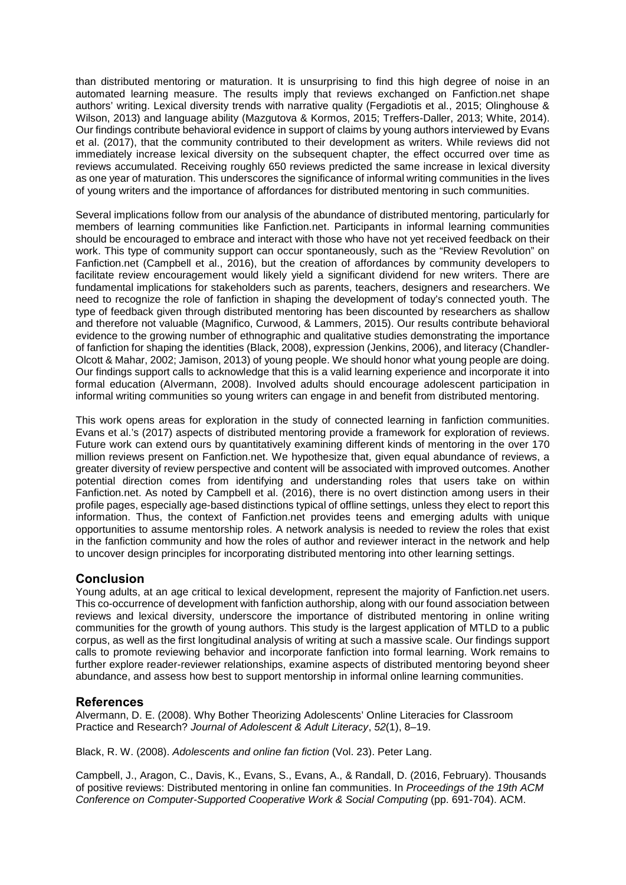than distributed mentoring or maturation. It is unsurprising to find this high degree of noise in an automated learning measure. The results imply that reviews exchanged on Fanfiction.net shape authors' writing. Lexical diversity trends with narrative quality (Fergadiotis et al., 2015; Olinghouse & Wilson, 2013) and language ability (Mazgutova & Kormos, 2015; Treffers-Daller, 2013; White, 2014). Our findings contribute behavioral evidence in support of claims by young authors interviewed by Evans et al. (2017), that the community contributed to their development as writers. While reviews did not immediately increase lexical diversity on the subsequent chapter, the effect occurred over time as reviews accumulated. Receiving roughly 650 reviews predicted the same increase in lexical diversity as one year of maturation. This underscores the significance of informal writing communities in the lives of young writers and the importance of affordances for distributed mentoring in such communities.

Several implications follow from our analysis of the abundance of distributed mentoring, particularly for members of learning communities like Fanfiction.net. Participants in informal learning communities should be encouraged to embrace and interact with those who have not yet received feedback on their work. This type of community support can occur spontaneously, such as the "Review Revolution" on Fanfiction.net (Campbell et al., 2016), but the creation of affordances by community developers to facilitate review encouragement would likely yield a significant dividend for new writers. There are fundamental implications for stakeholders such as parents, teachers, designers and researchers. We need to recognize the role of fanfiction in shaping the development of today's connected youth. The type of feedback given through distributed mentoring has been discounted by researchers as shallow and therefore not valuable (Magnifico, Curwood, & Lammers, 2015). Our results contribute behavioral evidence to the growing number of ethnographic and qualitative studies demonstrating the importance of fanfiction for shaping the identities (Black, 2008), expression (Jenkins, 2006), and literacy (Chandler-Olcott & Mahar, 2002; Jamison, 2013) of young people. We should honor what young people are doing. Our findings support calls to acknowledge that this is a valid learning experience and incorporate it into formal education (Alvermann, 2008). Involved adults should encourage adolescent participation in informal writing communities so young writers can engage in and benefit from distributed mentoring.

This work opens areas for exploration in the study of connected learning in fanfiction communities. Evans et al.'s (2017) aspects of distributed mentoring provide a framework for exploration of reviews. Future work can extend ours by quantitatively examining different kinds of mentoring in the over 170 million reviews present on Fanfiction.net. We hypothesize that, given equal abundance of reviews, a greater diversity of review perspective and content will be associated with improved outcomes. Another potential direction comes from identifying and understanding roles that users take on within Fanfiction.net. As noted by Campbell et al. (2016), there is no overt distinction among users in their profile pages, especially age-based distinctions typical of offline settings, unless they elect to report this information. Thus, the context of Fanfiction.net provides teens and emerging adults with unique opportunities to assume mentorship roles. A network analysis is needed to review the roles that exist in the fanfiction community and how the roles of author and reviewer interact in the network and help to uncover design principles for incorporating distributed mentoring into other learning settings.

# **Conclusion**

Young adults, at an age critical to lexical development, represent the majority of Fanfiction.net users. This co-occurrence of development with fanfiction authorship, along with our found association between reviews and lexical diversity, underscore the importance of distributed mentoring in online writing communities for the growth of young authors. This study is the largest application of MTLD to a public corpus, as well as the first longitudinal analysis of writing at such a massive scale. Our findings support calls to promote reviewing behavior and incorporate fanfiction into formal learning. Work remains to further explore reader-reviewer relationships, examine aspects of distributed mentoring beyond sheer abundance, and assess how best to support mentorship in informal online learning communities.

# **References**

Alvermann, D. E. (2008). Why Bother Theorizing Adolescents' Online Literacies for Classroom Practice and Research? *Journal of Adolescent & Adult Literacy*, *52*(1), 8–19.

Black, R. W. (2008). *Adolescents and online fan fiction* (Vol. 23). Peter Lang.

Campbell, J., Aragon, C., Davis, K., Evans, S., Evans, A., & Randall, D. (2016, February). Thousands of positive reviews: Distributed mentoring in online fan communities. In *Proceedings of the 19th ACM Conference on Computer-Supported Cooperative Work & Social Computing* (pp. 691-704). ACM.